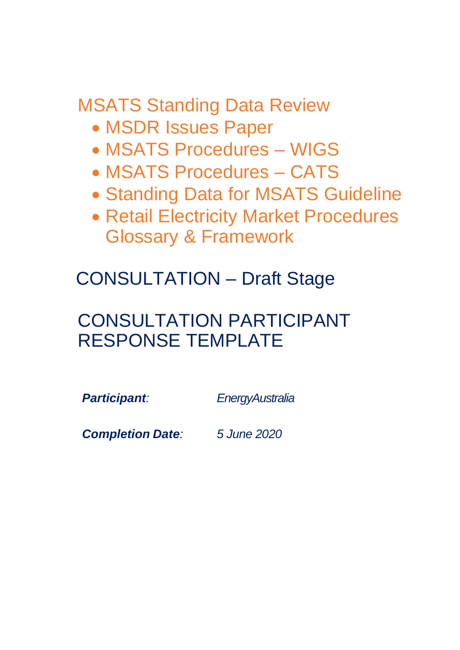MSATS Standing Data Review

- MSDR Issues Paper
- MSATS Procedures WIGS
- MSATS Procedures CATS
- Standing Data for MSATS Guideline
- Retail Electricity Market Procedures Glossary & Framework

CONSULTATION – Draft Stage

# CONSULTATION PARTICIPANT RESPONSE TEMPLATE

*Participant: EnergyAustralia*

*Completion Date: 5 June 2020*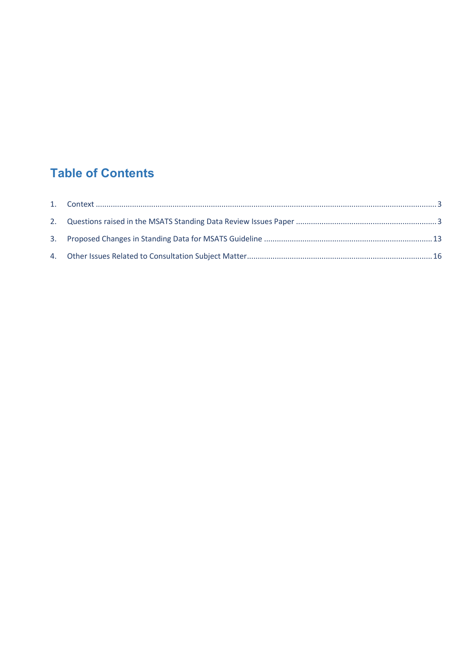# **Table of Contents**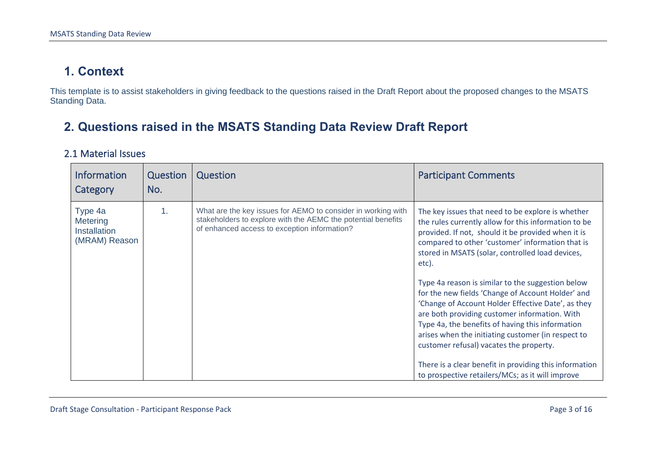### **1. Context**

This template is to assist stakeholders in giving feedback to the questions raised in the Draft Report about the proposed changes to the MSATS Standing Data.

## **2. Questions raised in the MSATS Standing Data Review Draft Report**

#### 2.1 Material Issues

<span id="page-2-1"></span><span id="page-2-0"></span>

| <b>Information</b><br>Category                              | Question<br>No. | Question                                                                                                                                                                     | <b>Participant Comments</b>                                                                                                                                                                                                                                                                                                                                                                                                                                                                                                                                                                                                                                                                                                                                          |
|-------------------------------------------------------------|-----------------|------------------------------------------------------------------------------------------------------------------------------------------------------------------------------|----------------------------------------------------------------------------------------------------------------------------------------------------------------------------------------------------------------------------------------------------------------------------------------------------------------------------------------------------------------------------------------------------------------------------------------------------------------------------------------------------------------------------------------------------------------------------------------------------------------------------------------------------------------------------------------------------------------------------------------------------------------------|
| Type 4a<br>Metering<br><b>Installation</b><br>(MRAM) Reason | $\mathbf{1}$ .  | What are the key issues for AEMO to consider in working with<br>stakeholders to explore with the AEMC the potential benefits<br>of enhanced access to exception information? | The key issues that need to be explore is whether<br>the rules currently allow for this information to be<br>provided. If not, should it be provided when it is<br>compared to other 'customer' information that is<br>stored in MSATS (solar, controlled load devices,<br>etc).<br>Type 4a reason is similar to the suggestion below<br>for the new fields 'Change of Account Holder' and<br>'Change of Account Holder Effective Date', as they<br>are both providing customer information. With<br>Type 4a, the benefits of having this information<br>arises when the initiating customer (in respect to<br>customer refusal) vacates the property.<br>There is a clear benefit in providing this information<br>to prospective retailers/MCs; as it will improve |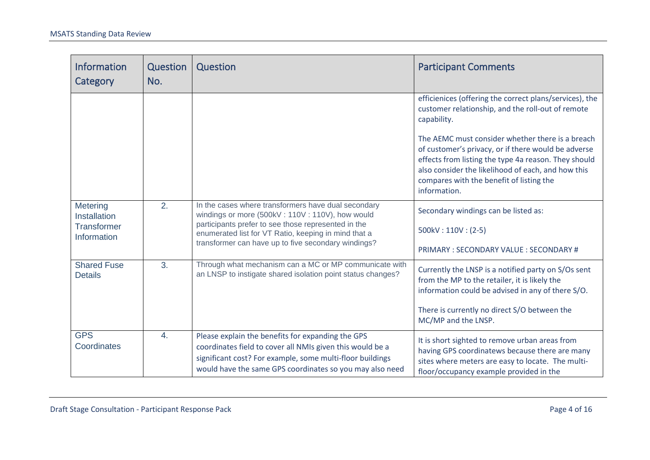| <b>Information</b><br>Category       | Question<br>No.  | Question                                                                                                                                                                                                              | <b>Participant Comments</b>                                                                                                                                                                                                                                                       |
|--------------------------------------|------------------|-----------------------------------------------------------------------------------------------------------------------------------------------------------------------------------------------------------------------|-----------------------------------------------------------------------------------------------------------------------------------------------------------------------------------------------------------------------------------------------------------------------------------|
|                                      |                  |                                                                                                                                                                                                                       | efficienices (offering the correct plans/services), the<br>customer relationship, and the roll-out of remote<br>capability.                                                                                                                                                       |
|                                      |                  |                                                                                                                                                                                                                       | The AEMC must consider whether there is a breach<br>of customer's privacy, or if there would be adverse<br>effects from listing the type 4a reason. They should<br>also consider the likelihood of each, and how this<br>compares with the benefit of listing the<br>information. |
| Metering<br>Installation             | 2.               | In the cases where transformers have dual secondary<br>windings or more (500kV: 110V: 110V), how would<br>participants prefer to see those represented in the<br>enumerated list for VT Ratio, keeping in mind that a | Secondary windings can be listed as:                                                                                                                                                                                                                                              |
| <b>Transformer</b><br>Information    |                  |                                                                                                                                                                                                                       | $500kV:110V:(2-5)$                                                                                                                                                                                                                                                                |
|                                      |                  | transformer can have up to five secondary windings?                                                                                                                                                                   | PRIMARY: SECONDARY VALUE: SECONDARY #                                                                                                                                                                                                                                             |
| <b>Shared Fuse</b><br><b>Details</b> | 3.               | Through what mechanism can a MC or MP communicate with<br>an LNSP to instigate shared isolation point status changes?                                                                                                 | Currently the LNSP is a notified party on S/Os sent<br>from the MP to the retailer, it is likely the<br>information could be advised in any of there S/O.                                                                                                                         |
|                                      |                  |                                                                                                                                                                                                                       | There is currently no direct S/O between the<br>MC/MP and the LNSP.                                                                                                                                                                                                               |
| <b>GPS</b><br>Coordinates            | $\overline{4}$ . | Please explain the benefits for expanding the GPS<br>coordinates field to cover all NMIs given this would be a                                                                                                        | It is short sighted to remove urban areas from<br>having GPS coordinatews because there are many                                                                                                                                                                                  |
|                                      |                  | significant cost? For example, some multi-floor buildings<br>would have the same GPS coordinates so you may also need                                                                                                 | sites where meters are easy to locate. The multi-<br>floor/occupancy example provided in the                                                                                                                                                                                      |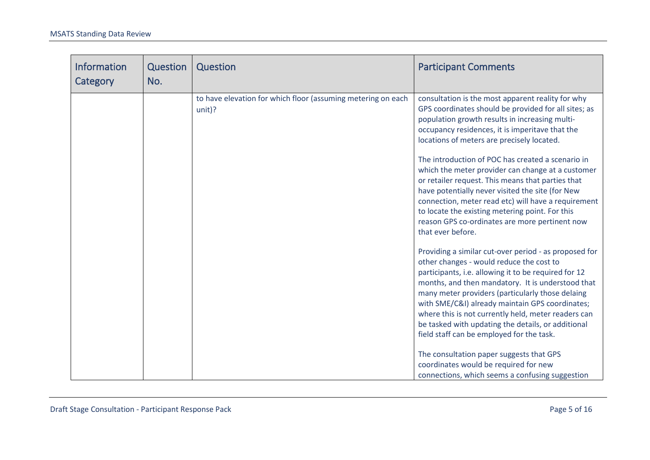| <b>Information</b><br>Category | Question<br>No. | Question                                                                 | <b>Participant Comments</b>                                                                                                                                                                                                                                                                                                                                                                                                                                                                                                                                                                                                                                                                                                                                                                                                                                                                                                                                                                                                                                                                                                                         |
|--------------------------------|-----------------|--------------------------------------------------------------------------|-----------------------------------------------------------------------------------------------------------------------------------------------------------------------------------------------------------------------------------------------------------------------------------------------------------------------------------------------------------------------------------------------------------------------------------------------------------------------------------------------------------------------------------------------------------------------------------------------------------------------------------------------------------------------------------------------------------------------------------------------------------------------------------------------------------------------------------------------------------------------------------------------------------------------------------------------------------------------------------------------------------------------------------------------------------------------------------------------------------------------------------------------------|
|                                |                 | to have elevation for which floor (assuming metering on each<br>$unit$ ? | consultation is the most apparent reality for why<br>GPS coordinates should be provided for all sites; as<br>population growth results in increasing multi-<br>occupancy residences, it is imperitave that the<br>locations of meters are precisely located.<br>The introduction of POC has created a scenario in<br>which the meter provider can change at a customer<br>or retailer request. This means that parties that<br>have potentially never visited the site (for New<br>connection, meter read etc) will have a requirement<br>to locate the existing metering point. For this<br>reason GPS co-ordinates are more pertinent now<br>that ever before.<br>Providing a similar cut-over period - as proposed for<br>other changes - would reduce the cost to<br>participants, i.e. allowing it to be required for 12<br>months, and then mandatory. It is understood that<br>many meter providers (particularly those delaing<br>with SME/C&I) already maintain GPS coordinates;<br>where this is not currently held, meter readers can<br>be tasked with updating the details, or additional<br>field staff can be employed for the task. |
|                                |                 |                                                                          | The consultation paper suggests that GPS<br>coordinates would be required for new<br>connections, which seems a confusing suggestion                                                                                                                                                                                                                                                                                                                                                                                                                                                                                                                                                                                                                                                                                                                                                                                                                                                                                                                                                                                                                |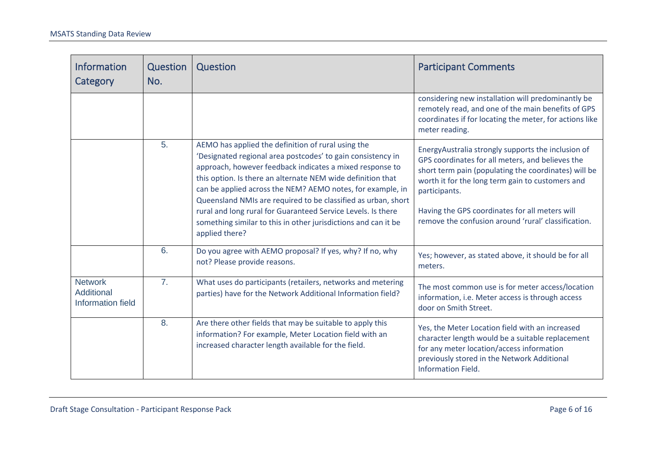| <b>Information</b><br>Category                    | Question<br>No. | Question                                                                                                                                                                                                                                                                                                                                                                                                                                                                                                                        | <b>Participant Comments</b>                                                                                                                                                                                                                                                                                                                  |
|---------------------------------------------------|-----------------|---------------------------------------------------------------------------------------------------------------------------------------------------------------------------------------------------------------------------------------------------------------------------------------------------------------------------------------------------------------------------------------------------------------------------------------------------------------------------------------------------------------------------------|----------------------------------------------------------------------------------------------------------------------------------------------------------------------------------------------------------------------------------------------------------------------------------------------------------------------------------------------|
|                                                   |                 |                                                                                                                                                                                                                                                                                                                                                                                                                                                                                                                                 | considering new installation will predominantly be<br>remotely read, and one of the main benefits of GPS<br>coordinates if for locating the meter, for actions like<br>meter reading.                                                                                                                                                        |
|                                                   | 5.              | AEMO has applied the definition of rural using the<br>'Designated regional area postcodes' to gain consistency in<br>approach, however feedback indicates a mixed response to<br>this option. Is there an alternate NEM wide definition that<br>can be applied across the NEM? AEMO notes, for example, in<br>Queensland NMIs are required to be classified as urban, short<br>rural and long rural for Guaranteed Service Levels. Is there<br>something similar to this in other jurisdictions and can it be<br>applied there? | EnergyAustralia strongly supports the inclusion of<br>GPS coordinates for all meters, and believes the<br>short term pain (populating the coordinates) will be<br>worth it for the long term gain to customers and<br>participants.<br>Having the GPS coordinates for all meters will<br>remove the confusion around 'rural' classification. |
|                                                   | 6.              | Do you agree with AEMO proposal? If yes, why? If no, why<br>not? Please provide reasons.                                                                                                                                                                                                                                                                                                                                                                                                                                        | Yes; however, as stated above, it should be for all<br>meters.                                                                                                                                                                                                                                                                               |
| <b>Network</b><br>Additional<br>Information field | 7.              | What uses do participants (retailers, networks and metering<br>parties) have for the Network Additional Information field?                                                                                                                                                                                                                                                                                                                                                                                                      | The most common use is for meter access/location<br>information, i.e. Meter access is through access<br>door on Smith Street.                                                                                                                                                                                                                |
|                                                   | 8.              | Are there other fields that may be suitable to apply this<br>information? For example, Meter Location field with an<br>increased character length available for the field.                                                                                                                                                                                                                                                                                                                                                      | Yes, the Meter Location field with an increased<br>character length would be a suitable replacement<br>for any meter location/access information<br>previously stored in the Network Additional<br><b>Information Field.</b>                                                                                                                 |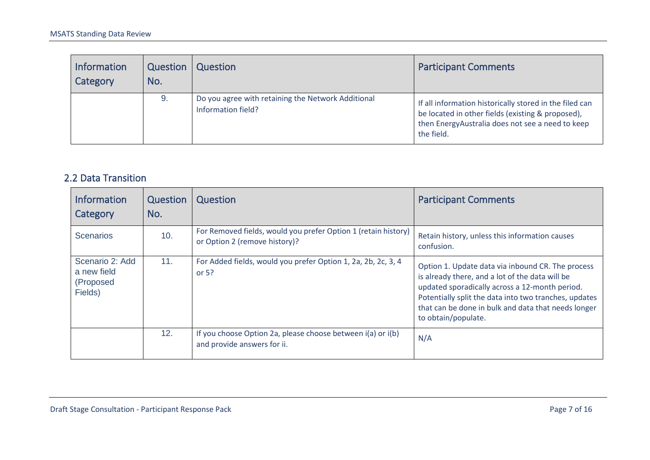| <b>Information</b><br>Category | Question<br>No. | Question                                                                 | <b>Participant Comments</b>                                                                                                                                                    |
|--------------------------------|-----------------|--------------------------------------------------------------------------|--------------------------------------------------------------------------------------------------------------------------------------------------------------------------------|
|                                | 9.              | Do you agree with retaining the Network Additional<br>Information field? | If all information historically stored in the filed can<br>be located in other fields (existing & proposed),<br>then EnergyAustralia does not see a need to keep<br>the field. |

#### 2.2 Data Transition

| <b>Information</b><br>Category                         | Question<br>No. | Question                                                                                        | <b>Participant Comments</b>                                                                                                                                                                                                                                                                   |
|--------------------------------------------------------|-----------------|-------------------------------------------------------------------------------------------------|-----------------------------------------------------------------------------------------------------------------------------------------------------------------------------------------------------------------------------------------------------------------------------------------------|
| <b>Scenarios</b>                                       | 10.             | For Removed fields, would you prefer Option 1 (retain history)<br>or Option 2 (remove history)? | Retain history, unless this information causes<br>confusion.                                                                                                                                                                                                                                  |
| Scenario 2: Add<br>a new field<br>(Proposed<br>Fields) | 11.             | For Added fields, would you prefer Option 1, 2a, 2b, 2c, 3, 4<br>or $5?$                        | Option 1. Update data via inbound CR. The process<br>is already there, and a lot of the data will be<br>updated sporadically across a 12-month period.<br>Potentially split the data into two tranches, updates<br>that can be done in bulk and data that needs longer<br>to obtain/populate. |
|                                                        | 12.             | If you choose Option 2a, please choose between i(a) or i(b)<br>and provide answers for ii.      | N/A                                                                                                                                                                                                                                                                                           |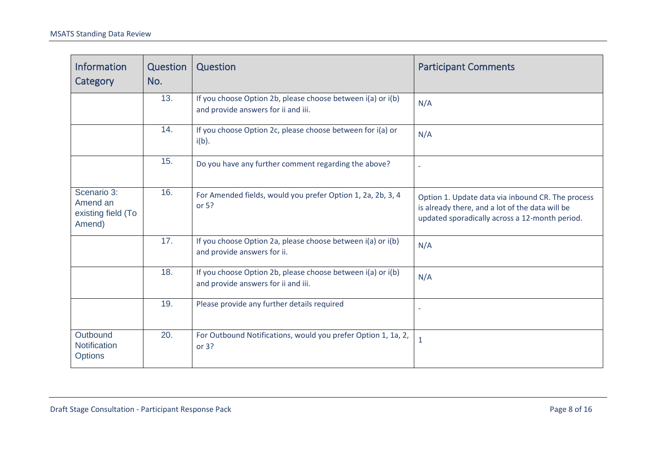| <b>Information</b><br>Category                          | Question<br>No. | Question                                                                                           | <b>Participant Comments</b>                                                                                                                            |
|---------------------------------------------------------|-----------------|----------------------------------------------------------------------------------------------------|--------------------------------------------------------------------------------------------------------------------------------------------------------|
|                                                         | 13.             | If you choose Option 2b, please choose between i(a) or i(b)<br>and provide answers for ii and iii. | N/A                                                                                                                                                    |
|                                                         | 14.             | If you choose Option 2c, please choose between for i(a) or<br>$i(b)$ .                             | N/A                                                                                                                                                    |
|                                                         | 15.             | Do you have any further comment regarding the above?                                               |                                                                                                                                                        |
| Scenario 3:<br>Amend an<br>existing field (To<br>Amend) | 16.             | For Amended fields, would you prefer Option 1, 2a, 2b, 3, 4<br>or 5?                               | Option 1. Update data via inbound CR. The process<br>is already there, and a lot of the data will be<br>updated sporadically across a 12-month period. |
|                                                         | 17.             | If you choose Option 2a, please choose between i(a) or i(b)<br>and provide answers for ii.         | N/A                                                                                                                                                    |
|                                                         | 18.             | If you choose Option 2b, please choose between i(a) or i(b)<br>and provide answers for ii and iii. | N/A                                                                                                                                                    |
|                                                         | 19.             | Please provide any further details required                                                        |                                                                                                                                                        |
| Outbound<br>Notification<br><b>Options</b>              | 20.             | For Outbound Notifications, would you prefer Option 1, 1a, 2,<br>or 3?                             | $\mathbf{1}$                                                                                                                                           |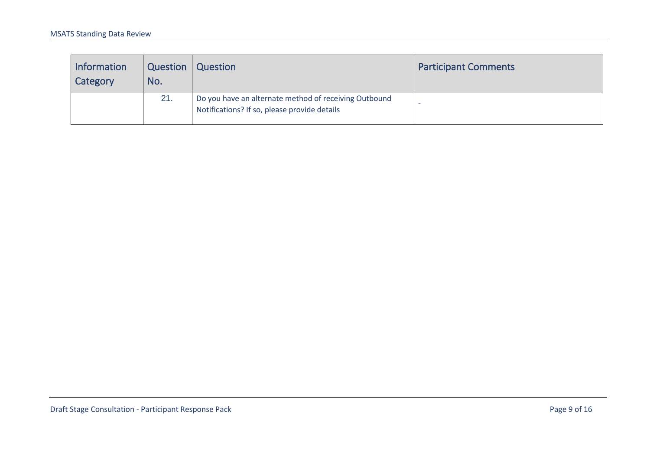| <b>Information</b><br>Category | Question<br>No. | Question                                                                                              | <b>Participant Comments</b> |
|--------------------------------|-----------------|-------------------------------------------------------------------------------------------------------|-----------------------------|
|                                | 21.             | Do you have an alternate method of receiving Outbound<br>Notifications? If so, please provide details |                             |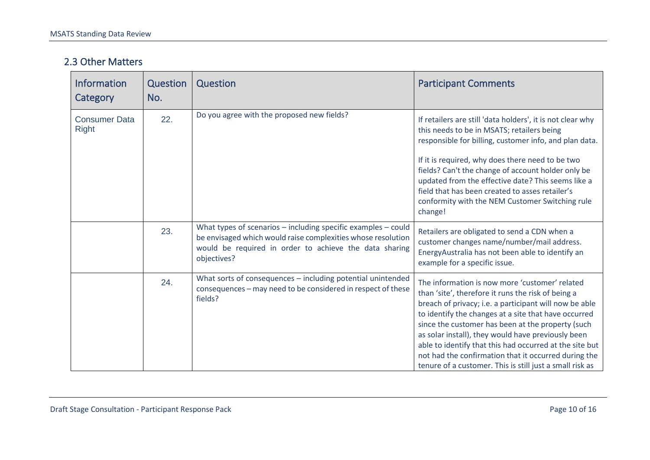#### 2.3 Other Matters

| <b>Information</b><br>Category       | <b>Question</b><br>No. | Question                                                                                                                                                                                                   | <b>Participant Comments</b>                                                                                                                                                                                                                                                                                                                                                                                                                                                                                      |
|--------------------------------------|------------------------|------------------------------------------------------------------------------------------------------------------------------------------------------------------------------------------------------------|------------------------------------------------------------------------------------------------------------------------------------------------------------------------------------------------------------------------------------------------------------------------------------------------------------------------------------------------------------------------------------------------------------------------------------------------------------------------------------------------------------------|
| <b>Consumer Data</b><br><b>Right</b> | 22.                    | Do you agree with the proposed new fields?                                                                                                                                                                 | If retailers are still 'data holders', it is not clear why<br>this needs to be in MSATS; retailers being<br>responsible for billing, customer info, and plan data.<br>If it is required, why does there need to be two<br>fields? Can't the change of account holder only be<br>updated from the effective date? This seems like a<br>field that has been created to asses retailer's<br>conformity with the NEM Customer Switching rule<br>change!                                                              |
|                                      | 23.                    | What types of scenarios $-$ including specific examples $-$ could<br>be envisaged which would raise complexities whose resolution<br>would be required in order to achieve the data sharing<br>objectives? | Retailers are obligated to send a CDN when a<br>customer changes name/number/mail address.<br>EnergyAustralia has not been able to identify an<br>example for a specific issue.                                                                                                                                                                                                                                                                                                                                  |
|                                      | 24.                    | What sorts of consequences - including potential unintended<br>consequences - may need to be considered in respect of these<br>fields?                                                                     | The information is now more 'customer' related<br>than 'site', therefore it runs the risk of being a<br>breach of privacy; i.e. a participant will now be able<br>to identify the changes at a site that have occurred<br>since the customer has been at the property (such<br>as solar install), they would have previously been<br>able to identify that this had occurred at the site but<br>not had the confirmation that it occurred during the<br>tenure of a customer. This is still just a small risk as |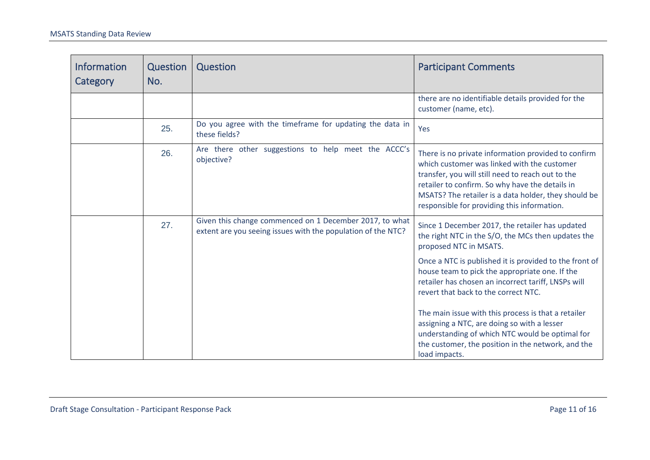| <b>Information</b><br>Category | Question<br>No. | Question                                                                                                                | <b>Participant Comments</b>                                                                                                                                                                                                                                                                                                                                                                                                                                                                                                                                                |
|--------------------------------|-----------------|-------------------------------------------------------------------------------------------------------------------------|----------------------------------------------------------------------------------------------------------------------------------------------------------------------------------------------------------------------------------------------------------------------------------------------------------------------------------------------------------------------------------------------------------------------------------------------------------------------------------------------------------------------------------------------------------------------------|
|                                |                 |                                                                                                                         | there are no identifiable details provided for the<br>customer (name, etc).                                                                                                                                                                                                                                                                                                                                                                                                                                                                                                |
|                                | 25.             | Do you agree with the timeframe for updating the data in<br>these fields?                                               | Yes                                                                                                                                                                                                                                                                                                                                                                                                                                                                                                                                                                        |
|                                | 26.             | Are there other suggestions to help meet the ACCC's<br>objective?                                                       | There is no private information provided to confirm<br>which customer was linked with the customer<br>transfer, you will still need to reach out to the<br>retailer to confirm. So why have the details in<br>MSATS? The retailer is a data holder, they should be<br>responsible for providing this information.                                                                                                                                                                                                                                                          |
|                                | 27.             | Given this change commenced on 1 December 2017, to what<br>extent are you seeing issues with the population of the NTC? | Since 1 December 2017, the retailer has updated<br>the right NTC in the S/O, the MCs then updates the<br>proposed NTC in MSATS.<br>Once a NTC is published it is provided to the front of<br>house team to pick the appropriate one. If the<br>retailer has chosen an incorrect tariff, LNSPs will<br>revert that back to the correct NTC.<br>The main issue with this process is that a retailer<br>assigning a NTC, are doing so with a lesser<br>understanding of which NTC would be optimal for<br>the customer, the position in the network, and the<br>load impacts. |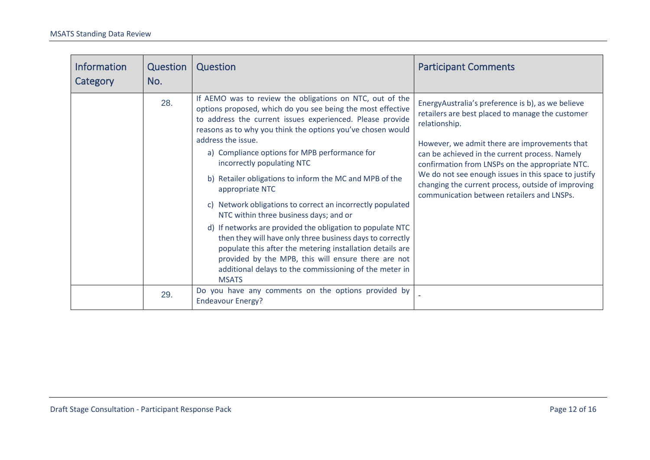<span id="page-11-0"></span>

| <b>Information</b><br>Category | Question<br>No. | Question                                                                                                                                                                                                                                                                                                                                                                                                                                                                                                                                                                                                                                                                                                                                                                                                                                                                   | <b>Participant Comments</b>                                                                                                                                                                                                                                                                                                                                                                                                              |
|--------------------------------|-----------------|----------------------------------------------------------------------------------------------------------------------------------------------------------------------------------------------------------------------------------------------------------------------------------------------------------------------------------------------------------------------------------------------------------------------------------------------------------------------------------------------------------------------------------------------------------------------------------------------------------------------------------------------------------------------------------------------------------------------------------------------------------------------------------------------------------------------------------------------------------------------------|------------------------------------------------------------------------------------------------------------------------------------------------------------------------------------------------------------------------------------------------------------------------------------------------------------------------------------------------------------------------------------------------------------------------------------------|
|                                | 28.             | If AEMO was to review the obligations on NTC, out of the<br>options proposed, which do you see being the most effective<br>to address the current issues experienced. Please provide<br>reasons as to why you think the options you've chosen would<br>address the issue.<br>a) Compliance options for MPB performance for<br>incorrectly populating NTC<br>b) Retailer obligations to inform the MC and MPB of the<br>appropriate NTC<br>Network obligations to correct an incorrectly populated<br>C)<br>NTC within three business days; and or<br>d) If networks are provided the obligation to populate NTC<br>then they will have only three business days to correctly<br>populate this after the metering installation details are<br>provided by the MPB, this will ensure there are not<br>additional delays to the commissioning of the meter in<br><b>MSATS</b> | EnergyAustralia's preference is b), as we believe<br>retailers are best placed to manage the customer<br>relationship.<br>However, we admit there are improvements that<br>can be achieved in the current process. Namely<br>confirmation from LNSPs on the appropriate NTC.<br>We do not see enough issues in this space to justify<br>changing the current process, outside of improving<br>communication between retailers and LNSPs. |
|                                | 29.             | Do you have any comments on the options provided by<br><b>Endeavour Energy?</b>                                                                                                                                                                                                                                                                                                                                                                                                                                                                                                                                                                                                                                                                                                                                                                                            |                                                                                                                                                                                                                                                                                                                                                                                                                                          |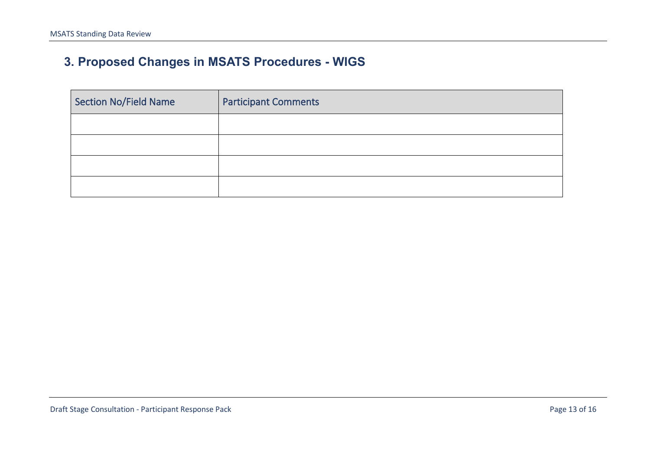# **3. Proposed Changes in MSATS Procedures - WIGS**

| Section No/Field Name | <b>Participant Comments</b> |
|-----------------------|-----------------------------|
|                       |                             |
|                       |                             |
|                       |                             |
|                       |                             |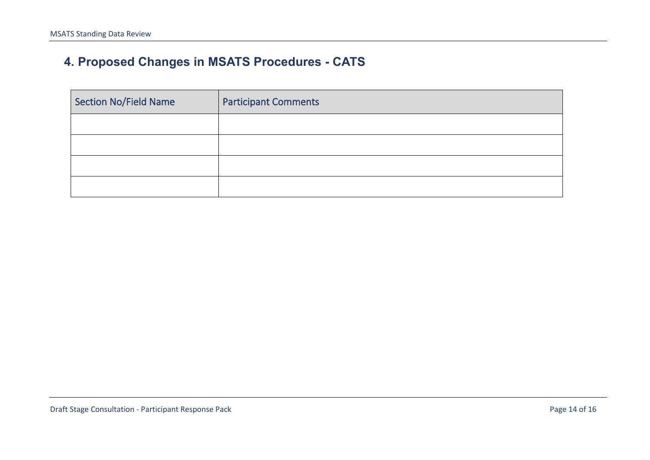# **4. Proposed Changes in MSATS Procedures - CATS**

| Section No/Field Name | <b>Participant Comments</b> |
|-----------------------|-----------------------------|
|                       |                             |
|                       |                             |
|                       |                             |
|                       |                             |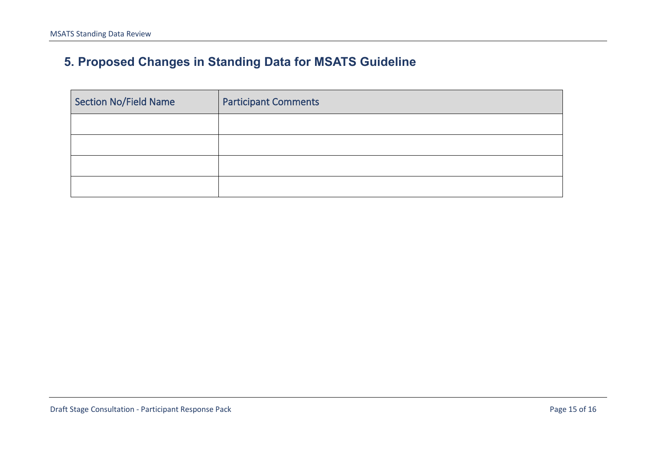# **5. Proposed Changes in Standing Data for MSATS Guideline**

| Section No/Field Name | <b>Participant Comments</b> |
|-----------------------|-----------------------------|
|                       |                             |
|                       |                             |
|                       |                             |
|                       |                             |